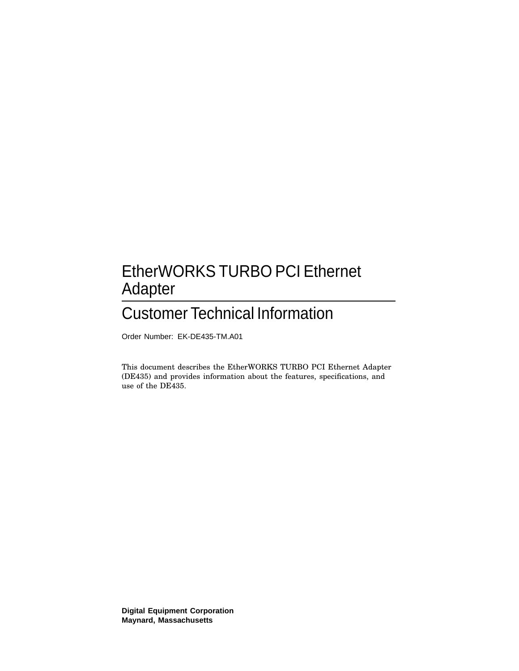### EtherWORKS TURBO PCI Ethernet Adapter

### Customer Technical Information

Order Number: EK-DE435-TM.A01

This document describes the EtherWORKS TURBO PCI Ethernet Adapter (DE435) and provides information about the features, specifications, and use of the DE435.

**Digital Equipment Corporation Maynard, Massachusetts**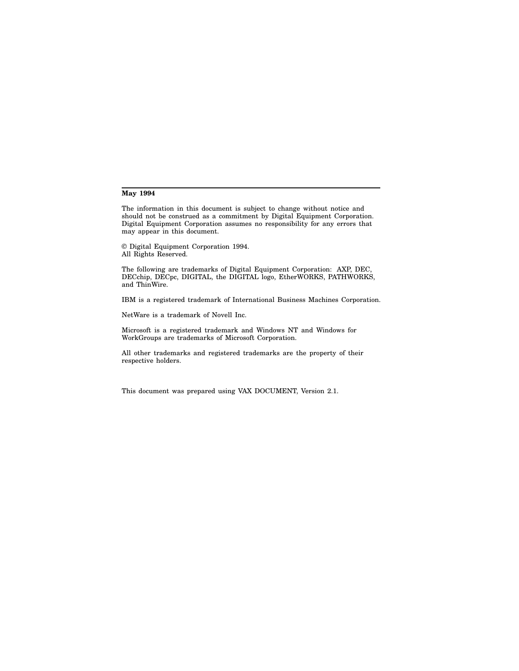#### **May 1994**

The information in this document is subject to change without notice and should not be construed as a commitment by Digital Equipment Corporation. Digital Equipment Corporation assumes no responsibility for any errors that may appear in this document.

© Digital Equipment Corporation 1994. All Rights Reserved.

The following are trademarks of Digital Equipment Corporation: AXP, DEC, DECchip, DECpc, DIGITAL, the DIGITAL logo, EtherWORKS, PATHWORKS, and ThinWire.

IBM is a registered trademark of International Business Machines Corporation.

NetWare is a trademark of Novell Inc.

Microsoft is a registered trademark and Windows NT and Windows for WorkGroups are trademarks of Microsoft Corporation.

All other trademarks and registered trademarks are the property of their respective holders.

This document was prepared using VAX DOCUMENT, Version 2.1.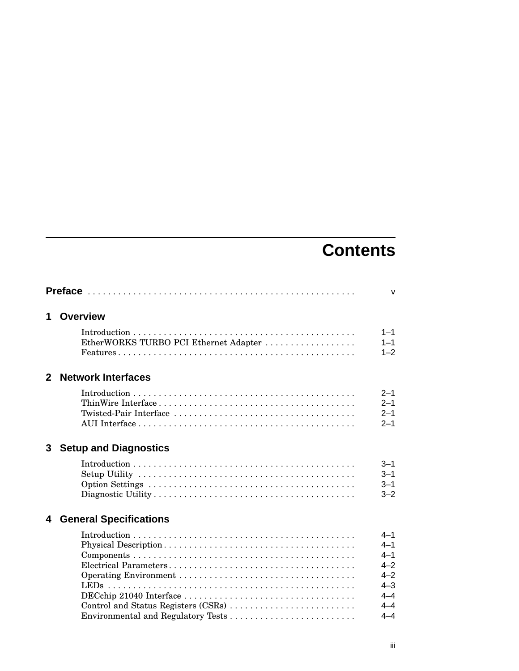## **Contents**

|                                                | v                                                                                               |
|------------------------------------------------|-------------------------------------------------------------------------------------------------|
| <b>Overview</b>                                |                                                                                                 |
| EtherWORKS TURBO PCI Ethernet Adapter          | $1 - 1$<br>$1 - 1$<br>$1 - 2$                                                                   |
| 2 Network Interfaces                           |                                                                                                 |
|                                                | $2 - 1$<br>$2 - 1$<br>$2 - 1$<br>$2 - 1$                                                        |
| 3 <sup>1</sup><br><b>Setup and Diagnostics</b> |                                                                                                 |
|                                                | $3 - 1$<br>$3 - 1$<br>$3 - 1$<br>$3 - 2$                                                        |
| <b>General Specifications</b>                  |                                                                                                 |
| Control and Status Registers (CSRs)            | $4 - 1$<br>$4 - 1$<br>$4 - 1$<br>$4 - 2$<br>$4 - 2$<br>$4 - 3$<br>$4 - 4$<br>$4 - 4$<br>$4 - 4$ |
|                                                |                                                                                                 |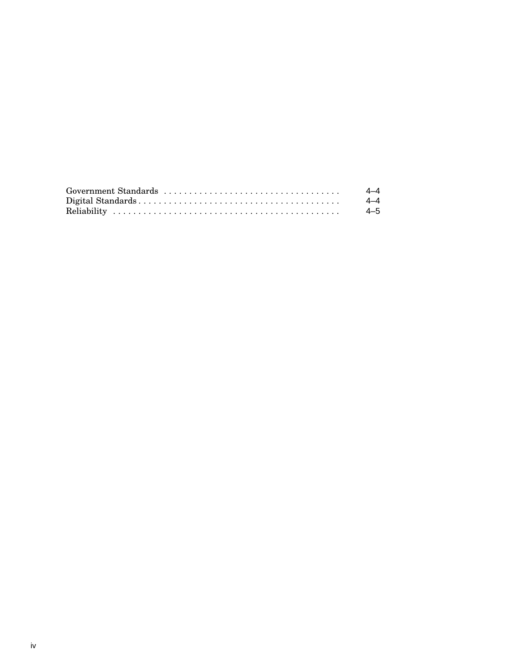| 4–4 |
|-----|
| 4–4 |
| 4–5 |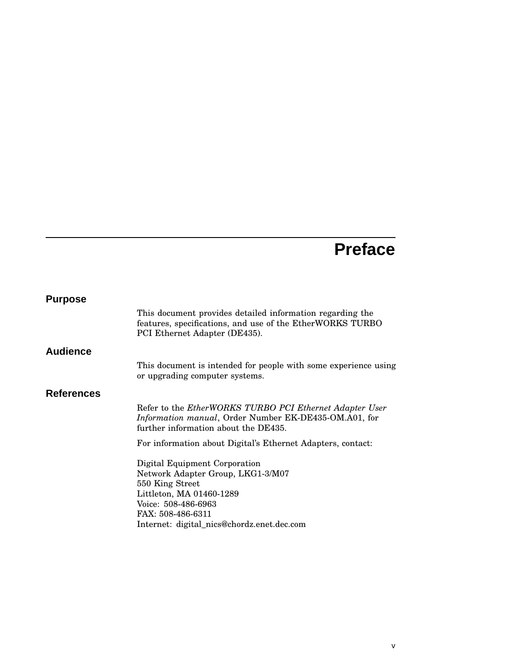## **Preface**

| <b>Purpose</b>    |                                                                                                                                                                                                             |
|-------------------|-------------------------------------------------------------------------------------------------------------------------------------------------------------------------------------------------------------|
|                   | This document provides detailed information regarding the<br>features, specifications, and use of the EtherWORKS TURBO<br>PCI Ethernet Adapter (DE435).                                                     |
| <b>Audience</b>   |                                                                                                                                                                                                             |
|                   | This document is intended for people with some experience using<br>or upgrading computer systems.                                                                                                           |
| <b>References</b> |                                                                                                                                                                                                             |
|                   | Refer to the EtherWORKS TURBO PCI Ethernet Adapter User<br>Information manual, Order Number EK-DE435-OM.A01, for<br>further information about the DE435.                                                    |
|                   | For information about Digital's Ethernet Adapters, contact:                                                                                                                                                 |
|                   | Digital Equipment Corporation<br>Network Adapter Group, LKG1-3/M07<br>550 King Street<br>Littleton, MA 01460-1289<br>Voice: 508-486-6963<br>FAX: 508-486-6311<br>Internet: digital_nics@chordz.enet.dec.com |
|                   |                                                                                                                                                                                                             |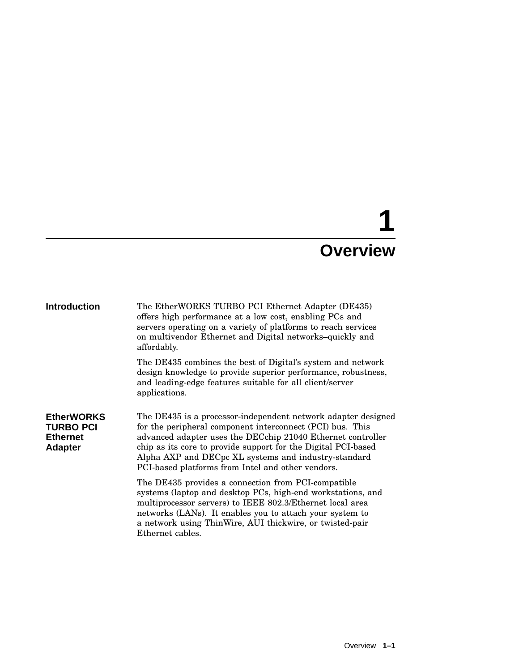# **1 Overview**

| <b>Introduction</b>                                                        | The EtherWORKS TURBO PCI Ethernet Adapter (DE435)<br>offers high performance at a low cost, enabling PCs and<br>servers operating on a variety of platforms to reach services<br>on multivendor Ethernet and Digital networks-quickly and<br>affordably.                                                                                                                |
|----------------------------------------------------------------------------|-------------------------------------------------------------------------------------------------------------------------------------------------------------------------------------------------------------------------------------------------------------------------------------------------------------------------------------------------------------------------|
|                                                                            | The DE435 combines the best of Digital's system and network<br>design knowledge to provide superior performance, robustness,<br>and leading-edge features suitable for all client/server<br>applications.                                                                                                                                                               |
| <b>EtherWORKS</b><br><b>TURBO PCI</b><br><b>Ethernet</b><br><b>Adapter</b> | The DE435 is a processor-independent network adapter designed<br>for the peripheral component interconnect (PCI) bus. This<br>advanced adapter uses the DECchip 21040 Ethernet controller<br>chip as its core to provide support for the Digital PCI-based<br>Alpha AXP and DECpc XL systems and industry-standard<br>PCI-based platforms from Intel and other vendors. |
|                                                                            | The DE435 provides a connection from PCI-compatible<br>systems (laptop and desktop PCs, high-end workstations, and<br>multiprocessor servers) to IEEE 802.3/Ethernet local area<br>networks (LANs). It enables you to attach your system to<br>a network using ThinWire, AUI thickwire, or twisted-pair<br>Ethernet cables.                                             |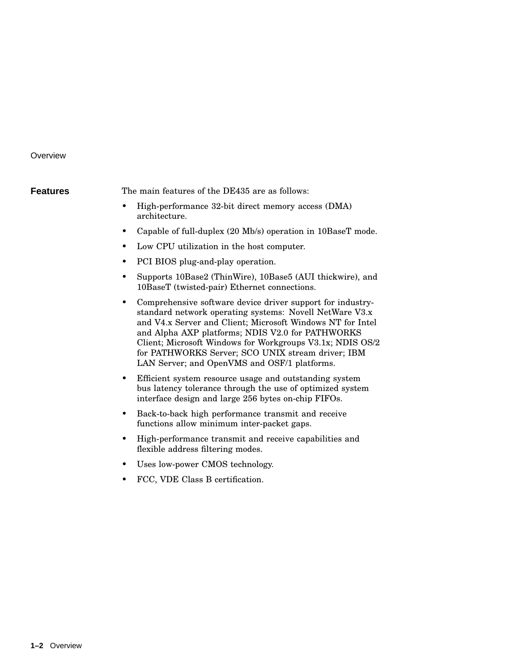#### **Overview**

**Features** The main features of the DE435 are as follows:

- High-performance 32-bit direct memory access (DMA) architecture.
- Capable of full-duplex (20 Mb/s) operation in 10BaseT mode.
- Low CPU utilization in the host computer.
- PCI BIOS plug-and-play operation.
- Supports 10Base2 (ThinWire), 10Base5 (AUI thickwire), and 10BaseT (twisted-pair) Ethernet connections.
- Comprehensive software device driver support for industrystandard network operating systems: Novell NetWare V3.x and V4.x Server and Client; Microsoft Windows NT for Intel and Alpha AXP platforms; NDIS V2.0 for PATHWORKS Client; Microsoft Windows for Workgroups V3.1x; NDIS OS/2 for PATHWORKS Server; SCO UNIX stream driver; IBM LAN Server; and OpenVMS and OSF/1 platforms.
- Efficient system resource usage and outstanding system bus latency tolerance through the use of optimized system interface design and large 256 bytes on-chip FIFOs.
- Back-to-back high performance transmit and receive functions allow minimum inter-packet gaps.
- High-performance transmit and receive capabilities and flexible address filtering modes.
- Uses low-power CMOS technology.
- FCC, VDE Class B certification.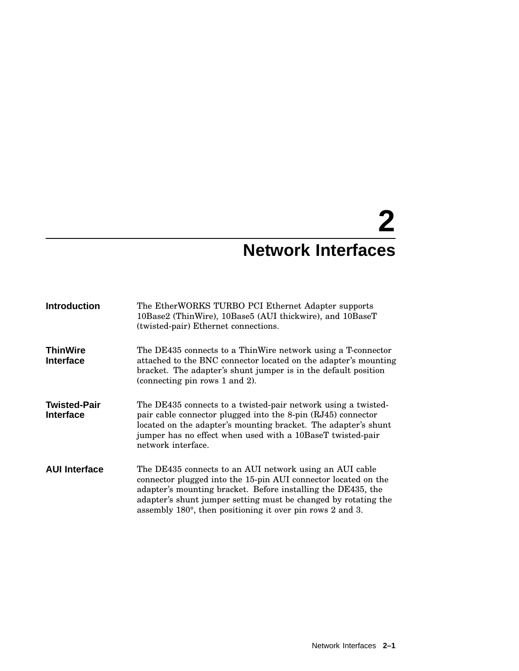# **2 Network Interfaces**

| <b>Introduction</b>                     | The EtherWORKS TURBO PCI Ethernet Adapter supports<br>10Base2 (ThinWire), 10Base5 (AUI thickwire), and 10BaseT<br>(twisted-pair) Ethernet connections.                                                                                                                                                                             |
|-----------------------------------------|------------------------------------------------------------------------------------------------------------------------------------------------------------------------------------------------------------------------------------------------------------------------------------------------------------------------------------|
| <b>ThinWire</b><br><b>Interface</b>     | The DE435 connects to a ThinWire network using a T-connector<br>attached to the BNC connector located on the adapter's mounting<br>bracket. The adapter's shunt jumper is in the default position<br>(connecting pin rows 1 and 2).                                                                                                |
| <b>Twisted-Pair</b><br><b>Interface</b> | The DE435 connects to a twisted-pair network using a twisted-<br>pair cable connector plugged into the 8-pin (RJ45) connector<br>located on the adapter's mounting bracket. The adapter's shunt<br>jumper has no effect when used with a 10BaseT twisted-pair<br>network interface.                                                |
| <b>AUI Interface</b>                    | The DE435 connects to an AUI network using an AUI cable<br>connector plugged into the 15-pin AUI connector located on the<br>adapter's mounting bracket. Before installing the DE435, the<br>adapter's shunt jumper setting must be changed by rotating the<br>assembly $180^{\circ}$ , then positioning it over pin rows 2 and 3. |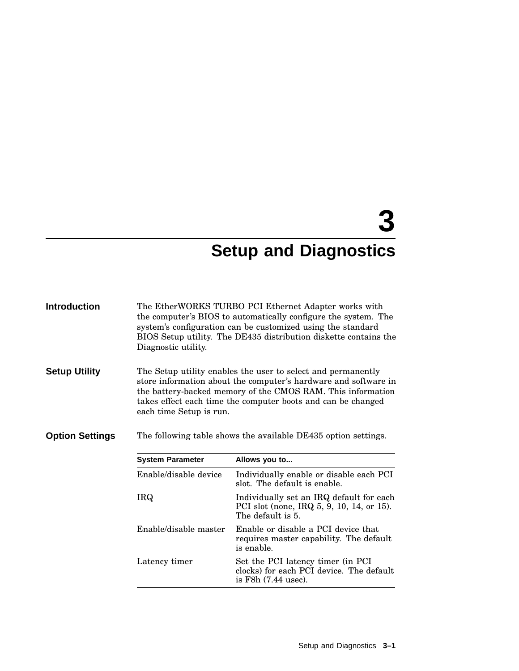# **3 Setup and Diagnostics**

| <b>Introduction</b>    | Diagnostic utility.     | The EtherWORKS TURBO PCI Ethernet Adapter works with<br>the computer's BIOS to automatically configure the system. The<br>system's configuration can be customized using the standard<br>BIOS Setup utility. The DE435 distribution diskette contains the      |  |  |
|------------------------|-------------------------|----------------------------------------------------------------------------------------------------------------------------------------------------------------------------------------------------------------------------------------------------------------|--|--|
| <b>Setup Utility</b>   | each time Setup is run. | The Setup utility enables the user to select and permanently<br>store information about the computer's hardware and software in<br>the battery-backed memory of the CMOS RAM. This information<br>takes effect each time the computer boots and can be changed |  |  |
| <b>Option Settings</b> |                         | The following table shows the available DE435 option settings.                                                                                                                                                                                                 |  |  |
|                        | <b>System Parameter</b> | Allows you to                                                                                                                                                                                                                                                  |  |  |
|                        | Enable/disable device   | Individually enable or disable each PCI<br>slot. The default is enable.                                                                                                                                                                                        |  |  |
|                        | <b>IRQ</b>              | Individually set an IRQ default for each<br>PCI slot (none, IRQ $5, 9, 10, 14$ , or 15).<br>The default is 5.                                                                                                                                                  |  |  |
|                        | Enable/disable master   | Enable or disable a PCI device that<br>requires master capability. The default<br>is enable.                                                                                                                                                                   |  |  |
|                        | Latency timer           | Set the PCI latency timer (in PCI<br>clocks) for each PCI device. The default<br>is $F8h(7.44 \text{ use}).$                                                                                                                                                   |  |  |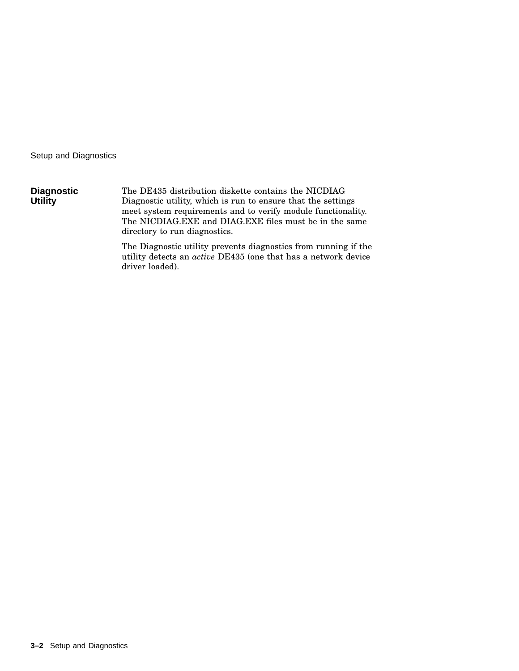Setup and Diagnostics

| <b>Diagnostic</b> | The DE435 distribution diskette contains the NICDIAG         |
|-------------------|--------------------------------------------------------------|
| <b>Utility</b>    | Diagnostic utility, which is run to ensure that the settings |
|                   | meet system requirements and to verify module functionality. |
|                   | The NICDIAG.EXE and DIAG.EXE files must be in the same       |
|                   | directory to run diagnostics.                                |

The Diagnostic utility prevents diagnostics from running if the utility detects an *active* DE435 (one that has a network device driver loaded).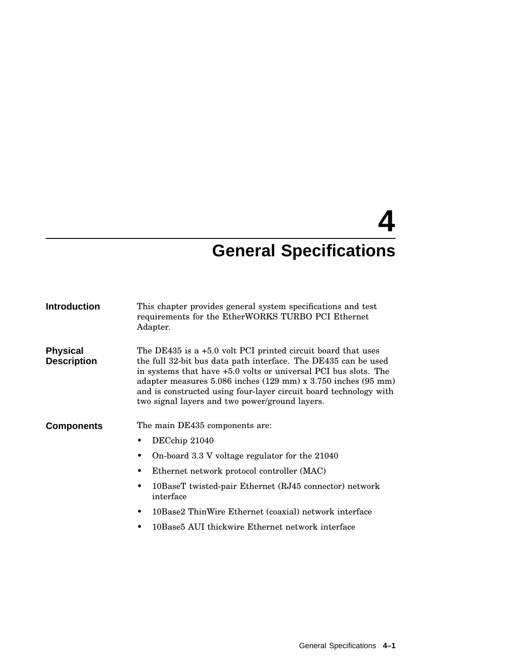| <b>Introduction</b>                   | This chapter provides general system specifications and test<br>requirements for the EtherWORKS TURBO PCI Ethernet<br>Adapter.                                                                                                                                                                                                                                                                                           |  |  |
|---------------------------------------|--------------------------------------------------------------------------------------------------------------------------------------------------------------------------------------------------------------------------------------------------------------------------------------------------------------------------------------------------------------------------------------------------------------------------|--|--|
| <b>Physical</b><br><b>Description</b> | The DE435 is a $+5.0$ volt PCI printed circuit board that uses<br>the full 32-bit bus data path interface. The DE435 can be used<br>in systems that have $+5.0$ volts or universal PCI bus slots. The<br>adapter measures $5.086$ inches $(129 \text{ mm}) \times 3.750$ inches $(95 \text{ mm})$<br>and is constructed using four-layer circuit board technology with<br>two signal layers and two power/ground layers. |  |  |
| <b>Components</b>                     | The main DE435 components are:                                                                                                                                                                                                                                                                                                                                                                                           |  |  |
|                                       | DECchip 21040                                                                                                                                                                                                                                                                                                                                                                                                            |  |  |
|                                       | On-board 3.3 V voltage regulator for the 21040                                                                                                                                                                                                                                                                                                                                                                           |  |  |
|                                       | Ethernet network protocol controller (MAC)<br>٠                                                                                                                                                                                                                                                                                                                                                                          |  |  |
|                                       | 10BaseT twisted-pair Ethernet (RJ45 connector) network<br>interface                                                                                                                                                                                                                                                                                                                                                      |  |  |
|                                       | 10Base2 ThinWire Ethernet (coaxial) network interface<br>$\bullet$                                                                                                                                                                                                                                                                                                                                                       |  |  |
|                                       | 10Base5 AUI thickwire Ethernet network interface<br>٠                                                                                                                                                                                                                                                                                                                                                                    |  |  |
|                                       |                                                                                                                                                                                                                                                                                                                                                                                                                          |  |  |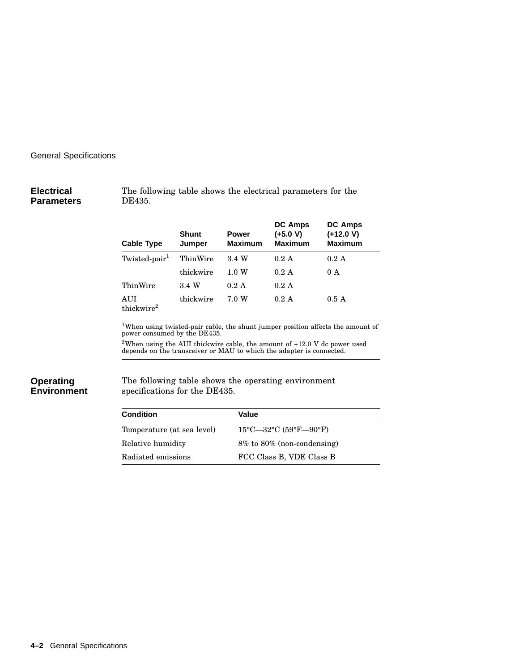#### **Electrical Parameters**

The following table shows the electrical parameters for the DE435.

| <b>Cable Type</b>             | Shunt<br>Jumper | <b>Power</b><br><b>Maximum</b> | <b>DC Amps</b><br>$(+5.0 V)$<br><b>Maximum</b> | <b>DC Amps</b><br>$(+12.0 V)$<br><b>Maximum</b> |
|-------------------------------|-----------------|--------------------------------|------------------------------------------------|-------------------------------------------------|
| Twisted-pair <sup>1</sup>     | ThinWire        | 3.4 W                          | 0.2 A                                          | 0.2 A                                           |
|                               | thickwire       | $1.0\;{\rm W}$                 | 0.2 A                                          | 0 A                                             |
| ThinWire                      | 3.4 W           | $0.2 \text{ A}$                | 0.2 A                                          |                                                 |
| AUI<br>thickwire <sup>2</sup> | thickwire       | 7.0 W                          | 0.2 A                                          | 0.5A                                            |

 $1$ When using twisted-pair cable, the shunt jumper position affects the amount of power consumed by the DE435.

 $^{2}$ When using the AUI thickwire cable, the amount of +12.0 V dc power used depends on the transceiver or MAU to which the adapter is connected.

#### **Operating Environment**

The following table shows the operating environment specifications for the DE435.

| Condition                  | Value                            |
|----------------------------|----------------------------------|
| Temperature (at sea level) | $15^{\circ}$ C—32°C (59°F—90°F)  |
| Relative humidity          | $8\%$ to $80\%$ (non-condensing) |
| Radiated emissions         | FCC Class B, VDE Class B         |
|                            |                                  |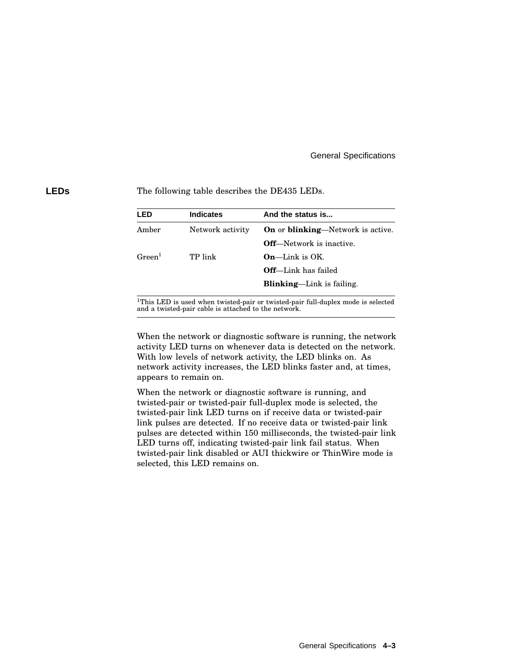**LEDs** The following table describes the DE435 LEDs.

| <b>LED</b>   | <b>Indicates</b> | And the status is                                |
|--------------|------------------|--------------------------------------------------|
| Amber        | Network activity | <b>On</b> or <b>blinking</b> —Network is active. |
|              |                  | <b>Off</b> —Network is inactive.                 |
| $G$ reen $1$ | TP link          | $On$ —Link is OK.                                |
|              |                  | <b>Off</b> —Link has failed                      |
|              |                  | <b>Blinking—Link</b> is failing.                 |
|              |                  |                                                  |

<sup>1</sup>This LED is used when twisted-pair or twisted-pair full-duplex mode is selected and a twisted-pair cable is attached to the network.

When the network or diagnostic software is running, the network activity LED turns on whenever data is detected on the network. With low levels of network activity, the LED blinks on. As network activity increases, the LED blinks faster and, at times, appears to remain on.

When the network or diagnostic software is running, and twisted-pair or twisted-pair full-duplex mode is selected, the twisted-pair link LED turns on if receive data or twisted-pair link pulses are detected. If no receive data or twisted-pair link pulses are detected within 150 milliseconds, the twisted-pair link LED turns off, indicating twisted-pair link fail status. When twisted-pair link disabled or AUI thickwire or ThinWire mode is selected, this LED remains on.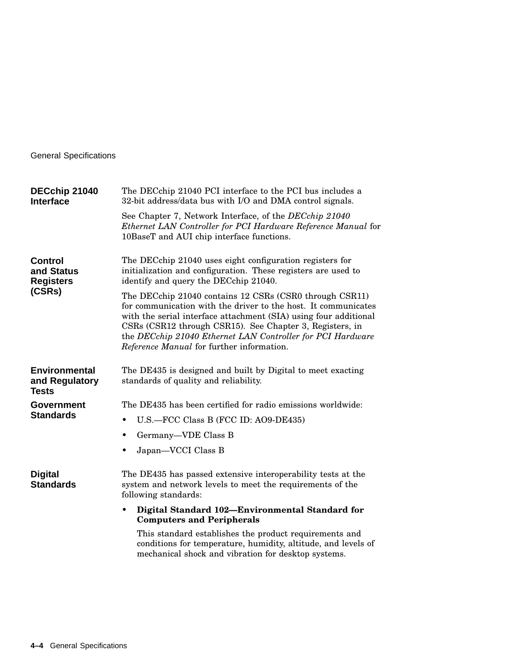| DECchip 21040<br><b>Interface</b>                          | The DECchip 21040 PCI interface to the PCI bus includes a<br>32-bit address/data bus with I/O and DMA control signals.                                                                                                                                                                                                                                               |  |  |
|------------------------------------------------------------|----------------------------------------------------------------------------------------------------------------------------------------------------------------------------------------------------------------------------------------------------------------------------------------------------------------------------------------------------------------------|--|--|
|                                                            | See Chapter 7, Network Interface, of the DECchip 21040<br>Ethernet LAN Controller for PCI Hardware Reference Manual for<br>10BaseT and AUI chip interface functions.                                                                                                                                                                                                 |  |  |
| <b>Control</b><br>and Status<br><b>Registers</b><br>(CSRs) | The DECchip 21040 uses eight configuration registers for<br>initialization and configuration. These registers are used to<br>identify and query the DECchip 21040.                                                                                                                                                                                                   |  |  |
|                                                            | The DECchip 21040 contains 12 CSRs (CSR0 through CSR11)<br>for communication with the driver to the host. It communicates<br>with the serial interface attachment (SIA) using four additional<br>CSRs (CSR12 through CSR15). See Chapter 3, Registers, in<br>the DECchip 21040 Ethernet LAN Controller for PCI Hardware<br>Reference Manual for further information. |  |  |
| <b>Environmental</b><br>and Regulatory<br><b>Tests</b>     | The DE435 is designed and built by Digital to meet exacting<br>standards of quality and reliability.                                                                                                                                                                                                                                                                 |  |  |
| <b>Government</b>                                          | The DE435 has been certified for radio emissions worldwide:                                                                                                                                                                                                                                                                                                          |  |  |
| <b>Standards</b>                                           | U.S.-FCC Class B (FCC ID: A09-DE435)<br>$\bullet$                                                                                                                                                                                                                                                                                                                    |  |  |
|                                                            | Germany-VDE Class B<br>$\bullet$                                                                                                                                                                                                                                                                                                                                     |  |  |
|                                                            | Japan-VCCI Class B<br>٠                                                                                                                                                                                                                                                                                                                                              |  |  |
| <b>Digital</b><br><b>Standards</b>                         | The DE435 has passed extensive interoperability tests at the<br>system and network levels to meet the requirements of the<br>following standards:                                                                                                                                                                                                                    |  |  |
|                                                            | Digital Standard 102-Environmental Standard for<br>٠<br><b>Computers and Peripherals</b>                                                                                                                                                                                                                                                                             |  |  |
|                                                            | This standard establishes the product requirements and<br>conditions for temperature, humidity, altitude, and levels of<br>mechanical shock and vibration for desktop systems.                                                                                                                                                                                       |  |  |